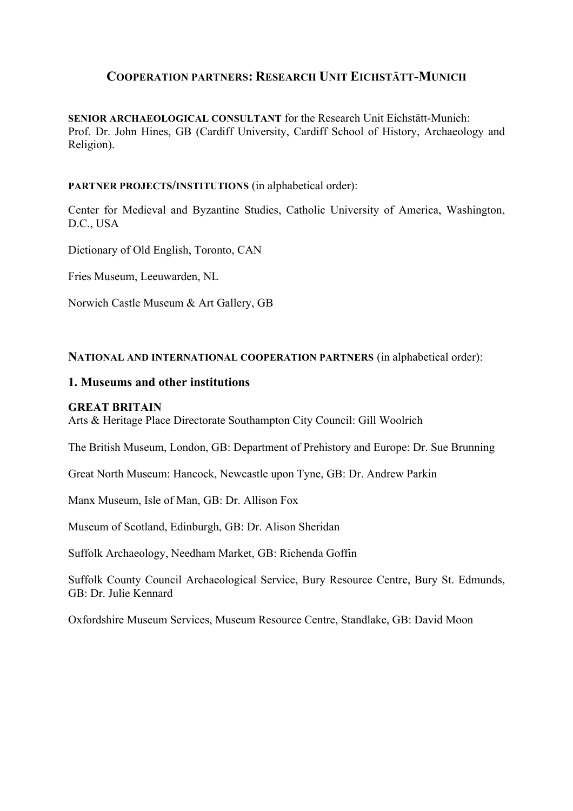# **COOPERATION PARTNERS: RESEARCH UNIT EICHSTÄTT-MUNICH**

**SENIOR ARCHAEOLOGICAL CONSULTANT** for the Research Unit Eichstätt-Munich: Prof. Dr. John Hines, GB (Cardiff University, Cardiff School of History, Archaeology and Religion).

# **PARTNER PROJECTS/INSTITUTIONS** (in alphabetical order):

Center for Medieval and Byzantine Studies, Catholic University of America, Washington, D.C., USA

Dictionary of Old English, Toronto, CAN

Fries Museum, Leeuwarden, NL

Norwich Castle Museum & Art Gallery, GB

## **NATIONAL AND INTERNATIONAL COOPERATION PARTNERS** (in alphabetical order):

## **1. Museums and other institutions**

### **GREAT BRITAIN**

Arts & Heritage Place Directorate Southampton City Council: Gill Woolrich

The British Museum, London, GB: Department of Prehistory and Europe: Dr. Sue Brunning

Great North Museum: Hancock, Newcastle upon Tyne, GB: Dr. Andrew Parkin

Manx Museum, Isle of Man, GB: Dr. Allison Fox

Museum of Scotland, Edinburgh, GB: Dr. Alison Sheridan

Suffolk Archaeology, Needham Market, GB: Richenda Goffin

Suffolk County Council Archaeological Service, Bury Resource Centre, Bury St. Edmunds, GB: Dr. Julie Kennard

Oxfordshire Museum Services, Museum Resource Centre, Standlake, GB: David Moon